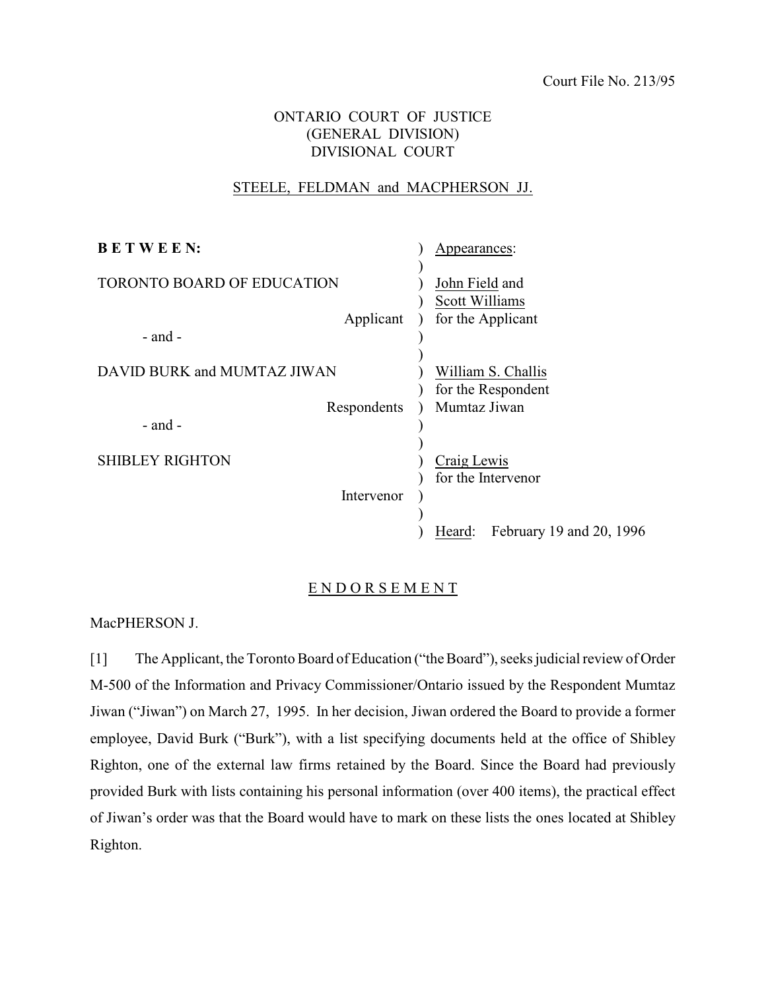Court File No. 213/95

# ONTARIO COURT OF JUSTICE (GENERAL DIVISION) DIVISIONAL COURT

### STEELE, FELDMAN and MACPHERSON JJ.

| <b>BETWEEN:</b>             | Appearances:                        |
|-----------------------------|-------------------------------------|
| TORONTO BOARD OF EDUCATION  | John Field and                      |
| Applicant                   | Scott Williams<br>for the Applicant |
| $-$ and $-$                 |                                     |
| DAVID BURK and MUMTAZ JIWAN | William S. Challis                  |
| Respondents<br>$-$ and $-$  | for the Respondent<br>Mumtaz Jiwan  |
| <b>SHIBLEY RIGHTON</b>      | Craig Lewis<br>for the Intervenor   |
| Intervenor                  |                                     |
|                             | February 19 and 20, 1996<br>Heard:  |

### E N D O R S E M E N T

MacPHERSON J.

[1] The Applicant, the Toronto Board of Education ("the Board"), seeks judicial review of Order M-500 of the Information and Privacy Commissioner/Ontario issued by the Respondent Mumtaz Jiwan ("Jiwan") on March 27, 1995. In her decision, Jiwan ordered the Board to provide a former employee, David Burk ("Burk"), with a list specifying documents held at the office of Shibley Righton, one of the external law firms retained by the Board. Since the Board had previously provided Burk with lists containing his personal information (over 400 items), the practical effect of Jiwan's order was that the Board would have to mark on these lists the ones located at Shibley Righton.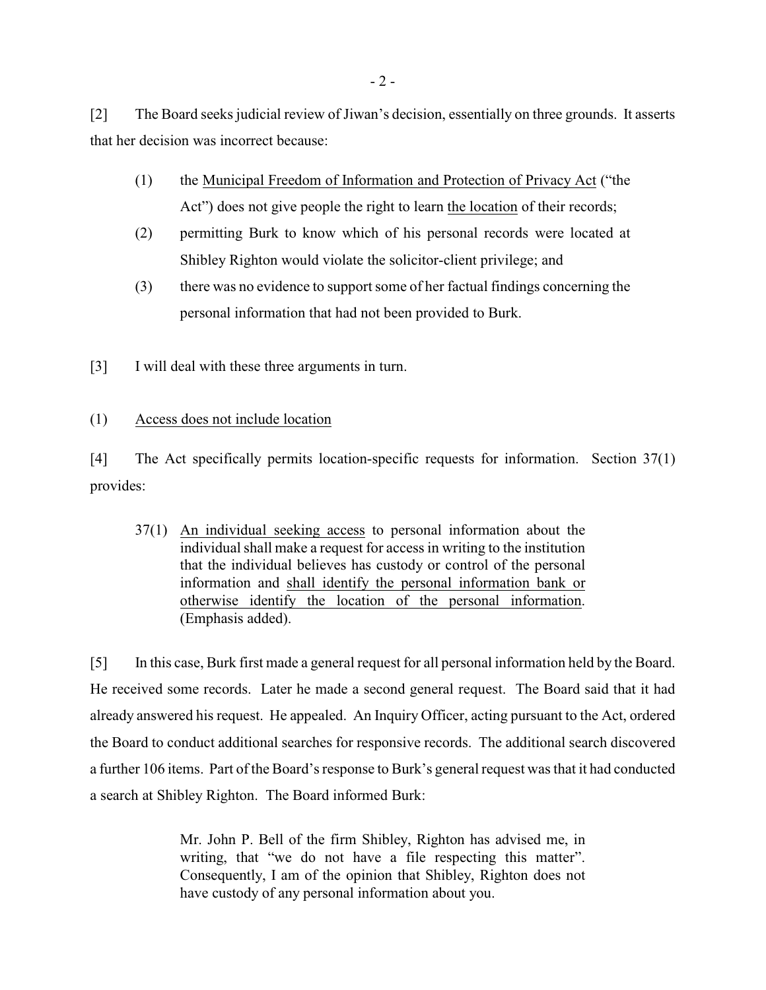[2] The Board seeks judicial review of Jiwan's decision, essentially on three grounds. It asserts that her decision was incorrect because:

- (1) the Municipal Freedom of Information and Protection of Privacy Act ("the Act") does not give people the right to learn the location of their records;
- (2) permitting Burk to know which of his personal records were located at Shibley Righton would violate the solicitor-client privilege; and
- (3) there was no evidence to support some of her factual findings concerning the personal information that had not been provided to Burk.
- [3] I will deal with these three arguments in turn.

## (1) Access does not include location

[4] The Act specifically permits location-specific requests for information. Section 37(1) provides:

37(1) An individual seeking access to personal information about the individual shall make a request for access in writing to the institution that the individual believes has custody or control of the personal information and shall identify the personal information bank or otherwise identify the location of the personal information. (Emphasis added).

[5] In this case, Burk first made a general request for all personal information held by the Board. He received some records. Later he made a second general request. The Board said that it had already answered his request. He appealed. An Inquiry Officer, acting pursuant to the Act, ordered the Board to conduct additional searches for responsive records. The additional search discovered a further 106 items. Part of the Board's response to Burk's general request was that it had conducted a search at Shibley Righton. The Board informed Burk:

> Mr. John P. Bell of the firm Shibley, Righton has advised me, in writing, that "we do not have a file respecting this matter". Consequently, I am of the opinion that Shibley, Righton does not have custody of any personal information about you.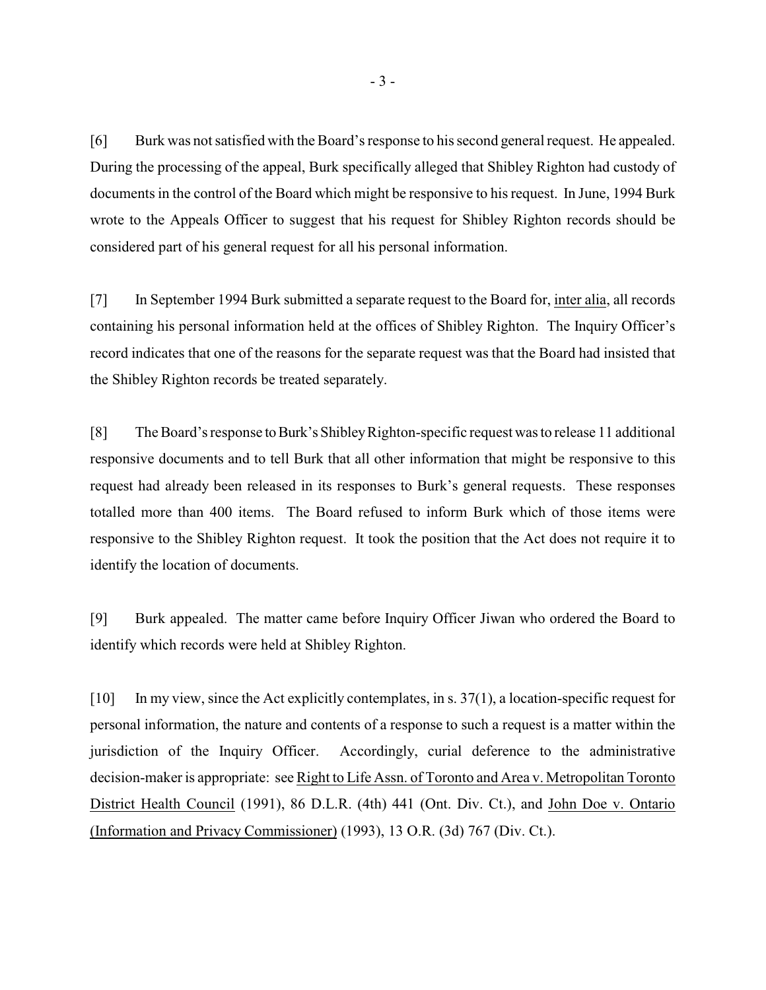[6] Burk was not satisfied with the Board's response to his second general request. He appealed. During the processing of the appeal, Burk specifically alleged that Shibley Righton had custody of documents in the control of the Board which might be responsive to his request. In June, 1994 Burk wrote to the Appeals Officer to suggest that his request for Shibley Righton records should be considered part of his general request for all his personal information.

[7] In September 1994 Burk submitted a separate request to the Board for, inter alia, all records containing his personal information held at the offices of Shibley Righton. The Inquiry Officer's record indicates that one of the reasons for the separate request was that the Board had insisted that the Shibley Righton records be treated separately.

[8] The Board's response to Burk's Shibley Righton-specific request was to release 11 additional responsive documents and to tell Burk that all other information that might be responsive to this request had already been released in its responses to Burk's general requests. These responses totalled more than 400 items. The Board refused to inform Burk which of those items were responsive to the Shibley Righton request. It took the position that the Act does not require it to identify the location of documents.

[9] Burk appealed. The matter came before Inquiry Officer Jiwan who ordered the Board to identify which records were held at Shibley Righton.

[10] In my view, since the Act explicitly contemplates, in s. 37(1), a location-specific request for personal information, the nature and contents of a response to such a request is a matter within the jurisdiction of the Inquiry Officer. Accordingly, curial deference to the administrative decision-maker is appropriate: see Right to Life Assn. of Toronto and Area v. Metropolitan Toronto District Health Council (1991), 86 D.L.R. (4th) 441 (Ont. Div. Ct.), and John Doe v. Ontario (Information and Privacy Commissioner) (1993), 13 O.R. (3d) 767 (Div. Ct.).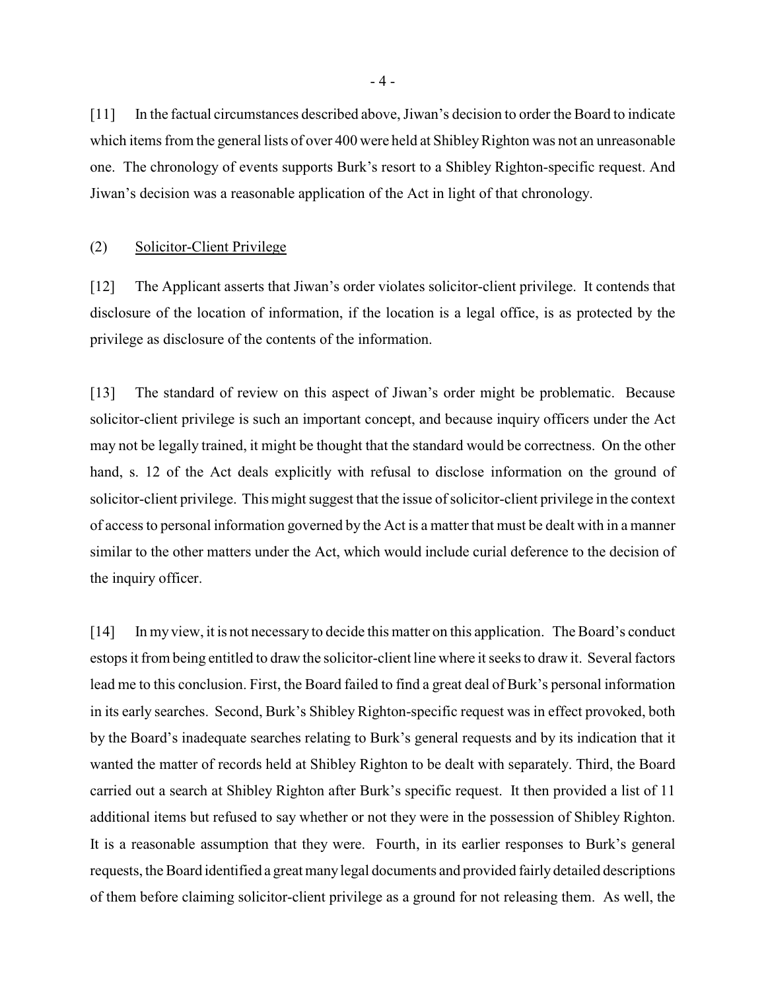[11] In the factual circumstances described above, Jiwan's decision to order the Board to indicate which items from the general lists of over 400 were held at Shibley Righton was not an unreasonable one. The chronology of events supports Burk's resort to a Shibley Righton-specific request. And Jiwan's decision was a reasonable application of the Act in light of that chronology.

#### (2) Solicitor-Client Privilege

[12] The Applicant asserts that Jiwan's order violates solicitor-client privilege. It contends that disclosure of the location of information, if the location is a legal office, is as protected by the privilege as disclosure of the contents of the information.

[13] The standard of review on this aspect of Jiwan's order might be problematic. Because solicitor-client privilege is such an important concept, and because inquiry officers under the Act may not be legally trained, it might be thought that the standard would be correctness. On the other hand, s. 12 of the Act deals explicitly with refusal to disclose information on the ground of solicitor-client privilege. This might suggest that the issue ofsolicitor-client privilege in the context of access to personal information governed by the Act is a matter that must be dealt with in a manner similar to the other matters under the Act, which would include curial deference to the decision of the inquiry officer.

[14] In my view, it is not necessary to decide this matter on this application. The Board's conduct estops it from being entitled to draw the solicitor-client line where it seeks to draw it. Several factors lead me to this conclusion. First, the Board failed to find a great deal of Burk's personal information in its early searches. Second, Burk's Shibley Righton-specific request was in effect provoked, both by the Board's inadequate searches relating to Burk's general requests and by its indication that it wanted the matter of records held at Shibley Righton to be dealt with separately. Third, the Board carried out a search at Shibley Righton after Burk's specific request. It then provided a list of 11 additional items but refused to say whether or not they were in the possession of Shibley Righton. It is a reasonable assumption that they were. Fourth, in its earlier responses to Burk's general requests, the Board identified a great manylegal documents and provided fairly detailed descriptions of them before claiming solicitor-client privilege as a ground for not releasing them. As well, the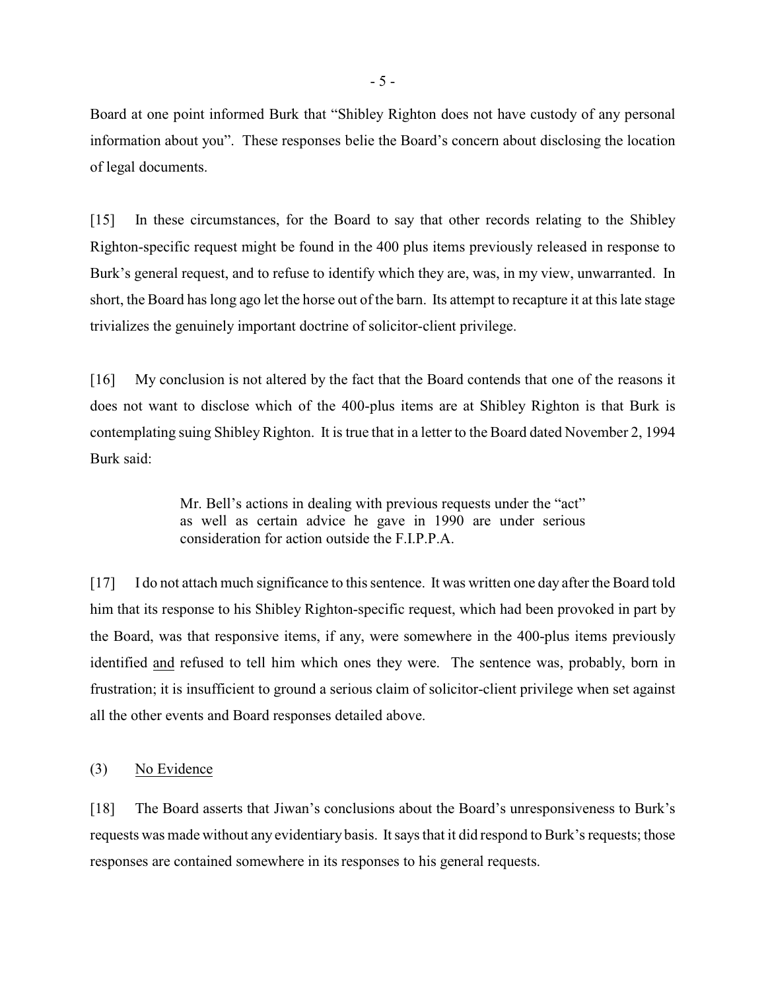Board at one point informed Burk that "Shibley Righton does not have custody of any personal information about you". These responses belie the Board's concern about disclosing the location of legal documents.

[15] In these circumstances, for the Board to say that other records relating to the Shibley Righton-specific request might be found in the 400 plus items previously released in response to Burk's general request, and to refuse to identify which they are, was, in my view, unwarranted. In short, the Board has long ago let the horse out of the barn. Its attempt to recapture it at this late stage trivializes the genuinely important doctrine of solicitor-client privilege.

[16] My conclusion is not altered by the fact that the Board contends that one of the reasons it does not want to disclose which of the 400-plus items are at Shibley Righton is that Burk is contemplating suing Shibley Righton. It is true that in a letter to the Board dated November 2, 1994 Burk said:

> Mr. Bell's actions in dealing with previous requests under the "act" as well as certain advice he gave in 1990 are under serious consideration for action outside the F.I.P.P.A.

[17] I do not attach much significance to this sentence. It was written one day after the Board told him that its response to his Shibley Righton-specific request, which had been provoked in part by the Board, was that responsive items, if any, were somewhere in the 400-plus items previously identified and refused to tell him which ones they were. The sentence was, probably, born in frustration; it is insufficient to ground a serious claim of solicitor-client privilege when set against all the other events and Board responses detailed above.

(3) No Evidence

[18] The Board asserts that Jiwan's conclusions about the Board's unresponsiveness to Burk's requests was made without any evidentiary basis. It says that it did respond to Burk's requests; those responses are contained somewhere in its responses to his general requests.